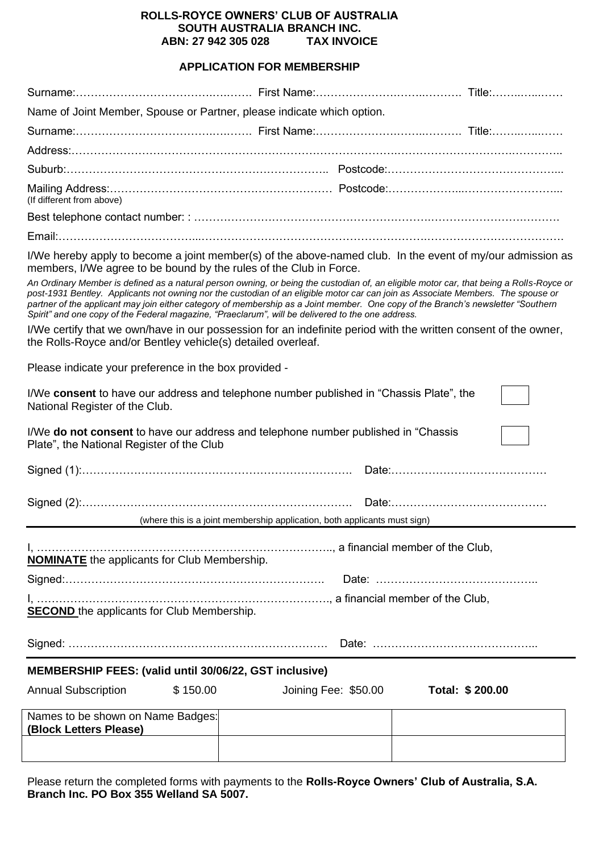#### **ROLLS-ROYCE OWNERS' CLUB OF AUSTRALIA SOUTH AUSTRALIA BRANCH INC. ABN: 27 942 305 028**

#### **APPLICATION FOR MEMBERSHIP**

| Name of Joint Member, Spouse or Partner, please indicate which option. |  |  |  |  |  |
|------------------------------------------------------------------------|--|--|--|--|--|
|                                                                        |  |  |  |  |  |
|                                                                        |  |  |  |  |  |
|                                                                        |  |  |  |  |  |
| (If different from above)                                              |  |  |  |  |  |
|                                                                        |  |  |  |  |  |
|                                                                        |  |  |  |  |  |

I/We hereby apply to become a joint member(s) of the above-named club. In the event of my/our admission as members, I/We agree to be bound by the rules of the Club in Force.

*An Ordinary Member is defined as a natural person owning, or being the custodian of, an eligible motor car, that being a Rolls-Royce or post-1931 Bentley. Applicants not owning nor the custodian of an eligible motor car can join as Associate Members. The spouse or partner of the applicant may join either category of membership as a Joint member. One copy of the Branch's newsletter "Southern Spirit" and one copy of the Federal magazine, "Praeclarum", will be delivered to the one address.*

I/We certify that we own/have in our possession for an indefinite period with the written consent of the owner, the Rolls-Royce and/or Bentley vehicle(s) detailed overleaf.

Please indicate your preference in the box provided -

| I/We consent to have our address and telephone number published in "Chassis Plate", the<br>National Register of the Club. |                                                                                     |  |  |  |  |  |
|---------------------------------------------------------------------------------------------------------------------------|-------------------------------------------------------------------------------------|--|--|--|--|--|
| Plate", the National Register of the Club                                                                                 | I/We do not consent to have our address and telephone number published in "Chassis" |  |  |  |  |  |
|                                                                                                                           |                                                                                     |  |  |  |  |  |
|                                                                                                                           | (where this is a joint membership application, both applicants must sign)           |  |  |  |  |  |
|                                                                                                                           |                                                                                     |  |  |  |  |  |
|                                                                                                                           |                                                                                     |  |  |  |  |  |
| <b>NOMINATE</b> the applicants for Club Membership.                                                                       |                                                                                     |  |  |  |  |  |
|                                                                                                                           |                                                                                     |  |  |  |  |  |
| <b>SECOND</b> the applicants for Club Membership.                                                                         |                                                                                     |  |  |  |  |  |
|                                                                                                                           |                                                                                     |  |  |  |  |  |
| MEMBERSHIP FEES: (valid until 30/06/22, GST inclusive)                                                                    |                                                                                     |  |  |  |  |  |
| <b>Annual Subscription</b><br>\$150.00                                                                                    | Joining Fee: \$50.00<br>Total: \$200.00                                             |  |  |  |  |  |
| Names to be shown on Name Badges:<br>(Block Letters Please)                                                               |                                                                                     |  |  |  |  |  |
|                                                                                                                           |                                                                                     |  |  |  |  |  |

Please return the completed forms with payments to the **Rolls-Royce Owners' Club of Australia, S.A. Branch Inc. PO Box 355 Welland SA 5007.**